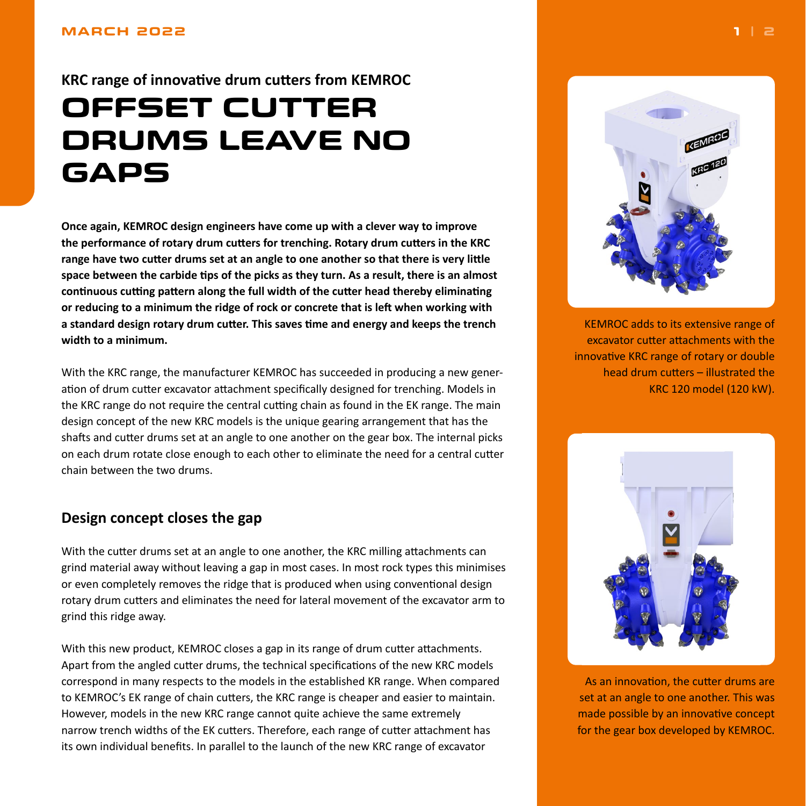### <span id="page-0-0"></span>**MARCH 2022**

**KRC range of innovative drum cutters from KEMROC**

# **OFFSET CUTTER DRUMS LEAVE NO GAPS**

**Once again, KEMROC design engineers have come up with a clever way to improve the performance of rotary drum cutters for trenching. Rotary drum cutters in the KRC range have two cutter drums set at an angle to one another so that there is very little space between the carbide tips of the picks as they turn. As a result, there is an almost continuous cutting pattern along the full width of the cutter head thereby eliminating or reducing to a minimum the ridge of rock or concrete that is left when working with a standard design rotary drum cutter. This saves time and energy and keeps the trench width to a minimum.**

With the KRC range, the manufacturer KEMROC has succeeded in producing a new generation of drum cutter excavator attachment specifically designed for trenching. Models in the KRC range do not require the central cutting chain as found in the EK range. The main design concept of the new KRC models is the unique gearing arrangement that has the shafts and cutter drums set at an angle to one another on the gear box. The internal picks on each drum rotate close enough to each other to eliminate the need for a central cutter chain between the two drums.

# **Design concept closes the gap**

With the cutter drums set at an angle to one another, the KRC milling attachments can grind material away without leaving a gap in most cases. In most rock types this minimises or even completely removes the ridge that is produced when using conventional design rotary drum cutters and eliminates the need for lateral movement of the excavator arm to grind this ridge away.

With this new product, KEMROC closes a gap in its range of drum cutter attachments. Apart from the angled cutter drums, the technical specifications of the new KRC models correspond in many respects to the models in the established KR range. When compared to KEMROC's EK range of chain cutters, the KRC range is cheaper and easier to maintain. However, models in the new KRC range cannot quite achieve the same extremely narrow trench widths of the EK cutters. Therefore, each range of cutter attachment has its own individual benefits. In parallel to the launch of the new KRC range of excavator



KEMROC adds to its extensive range of excavator cutter attachments with the innovative KRC range of rotary or double head drum cutters – illustrated the KRC 120 model (120 kW).



As an innovation, the cutter drums are set at an angle to one another. This was made possible by an innovative concept for the gear box developed by KEMROC.